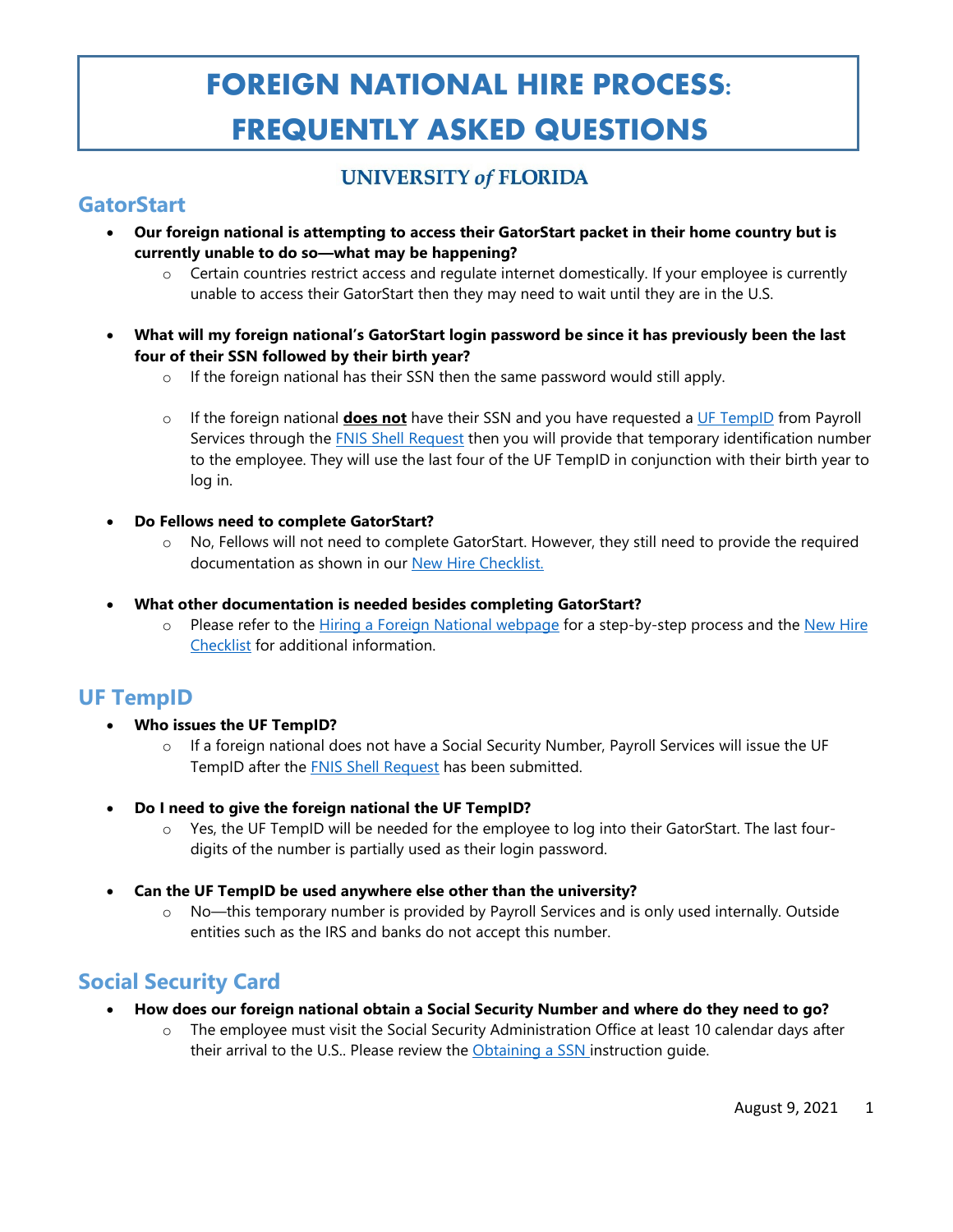# **FOREIGN NATIONAL HIRE PROCESS: FREQUENTLY ASKED QUESTIONS**

### **UNIVERSITY of FLORIDA**

### **GatorStart**

- **Our foreign national is attempting to access their GatorStart packet in their home country but is currently unable to do so—what may be happening?**
	- o Certain countries restrict access and regulate internet domestically. If your employee is currently unable to access their GatorStart then they may need to wait until they are in the U.S.
- **What will my foreign national's GatorStart login password be since it has previously been the last four of their SSN followed by their birth year?**
	- o If the foreign national has their SSN then the same password would still apply.
	- o If the foreign national **does not** have their SSN and you have requested a [UF TempID](https://hr.ufl.edu/wp-content/uploads/2020/10/usinguftempID.pdf) from Payroll Services through the [FNIS Shell Request](https://forms.office.com/Pages/ResponsePage.aspx?id=-KBNDTFKdk2s5gpiMx4bhMUntaDU0aRLuHdwiyFkiitUQ1MxVkZFMzFJNENQN1VWWkxMMFg2MzdUSCQlQCN0PWcu) then you will provide that temporary identification number to the employee. They will use the last four of the UF TempID in conjunction with their birth year to log in.
- **Do Fellows need to complete GatorStart?**
	- o No, Fellows will not need to complete GatorStart. However, they still need to provide the required documentation as shown in our [New Hire Checklist.](https://hr.ufl.edu/wp-content/uploads/2019/09/newhirechecklist.xlsx)
- **What other documentation is needed besides completing GatorStart?**
	- o Please refer to the [Hiring a Foreign National webpage](https://hr.ufl.edu/manager-resources/employment-operations-and-records/hiring-a-foreign-national/) for a step-by-step process and the New Hire [Checklist](https://hr.ufl.edu/wp-content/uploads/2019/09/newhirechecklist.xlsx) for additional information.

### **UF TempID**

- **Who issues the UF TempID?**
	- $\circ$  If a foreign national does not have a Social Security Number, Payroll Services will issue the UF TempID after the [FNIS Shell Request](https://forms.office.com/Pages/ResponsePage.aspx?id=-KBNDTFKdk2s5gpiMx4bhMUntaDU0aRLuHdwiyFkiitUQ1MxVkZFMzFJNENQN1VWWkxMMFg2MzdUSCQlQCN0PWcu) has been submitted.
- **Do I need to give the foreign national the UF TempID?**
	- o Yes, the UF TempID will be needed for the employee to log into their GatorStart. The last fourdigits of the number is partially used as their login password.
- **Can the UF TempID be used anywhere else other than the university?**
	- No—this temporary number is provided by Payroll Services and is only used internally. Outside entities such as the IRS and banks do not accept this number.

### **Social Security Card**

- **How does our foreign national obtain a Social Security Number and where do they need to go?**
	- The employee must visit the Social Security Administration Office at least 10 calendar days after their arrival to the U.S.. Please review the [Obtaining a SSN](https://hr.ufl.edu/wp-content/uploads/2020/10/obtainingassn.pdf) instruction guide.